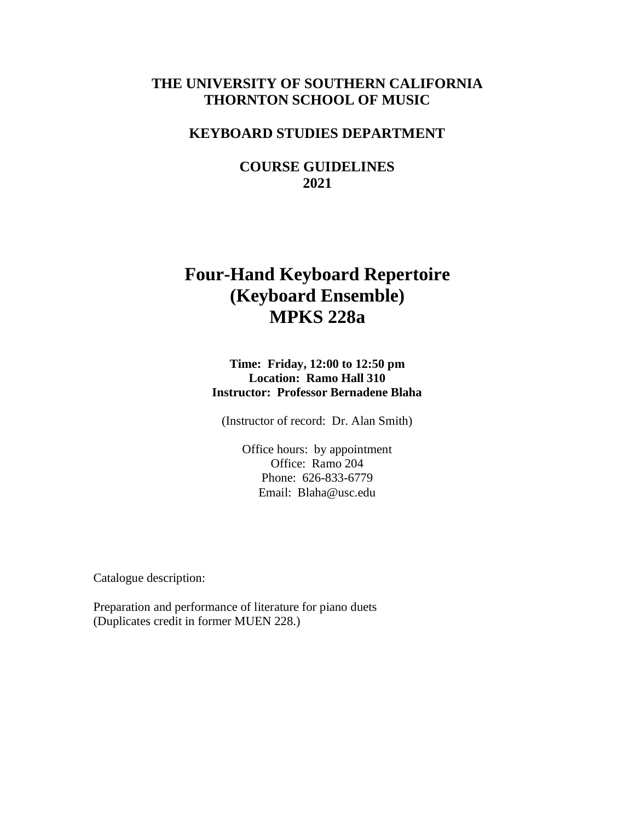# **THE UNIVERSITY OF SOUTHERN CALIFORNIA THORNTON SCHOOL OF MUSIC**

# **KEYBOARD STUDIES DEPARTMENT**

**COURSE GUIDELINES 2021**

# **Four-Hand Keyboard Repertoire (Keyboard Ensemble) MPKS 228a**

**Time: Friday, 12:00 to 12:50 pm Location: Ramo Hall 310 Instructor: Professor Bernadene Blaha**

(Instructor of record: Dr. Alan Smith)

Office hours: by appointment Office: Ramo 204 Phone: 626-833-6779 Email: Blaha@usc.edu

Catalogue description:

Preparation and performance of literature for piano duets (Duplicates credit in former MUEN 228.)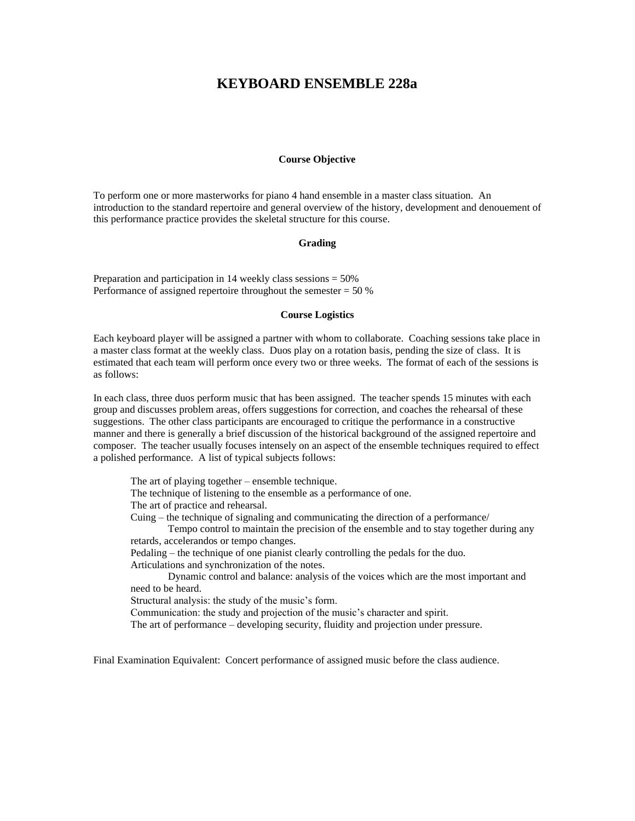# **KEYBOARD ENSEMBLE 228a**

# **Course Objective**

To perform one or more masterworks for piano 4 hand ensemble in a master class situation. An introduction to the standard repertoire and general overview of the history, development and denouement of this performance practice provides the skeletal structure for this course.

#### **Grading**

Preparation and participation in 14 weekly class sessions = 50% Performance of assigned repertoire throughout the semester  $= 50\%$ 

#### **Course Logistics**

Each keyboard player will be assigned a partner with whom to collaborate. Coaching sessions take place in a master class format at the weekly class. Duos play on a rotation basis, pending the size of class. It is estimated that each team will perform once every two or three weeks. The format of each of the sessions is as follows:

In each class, three duos perform music that has been assigned. The teacher spends 15 minutes with each group and discusses problem areas, offers suggestions for correction, and coaches the rehearsal of these suggestions. The other class participants are encouraged to critique the performance in a constructive manner and there is generally a brief discussion of the historical background of the assigned repertoire and composer. The teacher usually focuses intensely on an aspect of the ensemble techniques required to effect a polished performance. A list of typical subjects follows:

The art of playing together – ensemble technique. The technique of listening to the ensemble as a performance of one. The art of practice and rehearsal. Cuing – the technique of signaling and communicating the direction of a performance/ Tempo control to maintain the precision of the ensemble and to stay together during any retards, accelerandos or tempo changes. Pedaling – the technique of one pianist clearly controlling the pedals for the duo. Articulations and synchronization of the notes. Dynamic control and balance: analysis of the voices which are the most important and need to be heard. Structural analysis: the study of the music's form. Communication: the study and projection of the music's character and spirit.

The art of performance – developing security, fluidity and projection under pressure.

Final Examination Equivalent: Concert performance of assigned music before the class audience.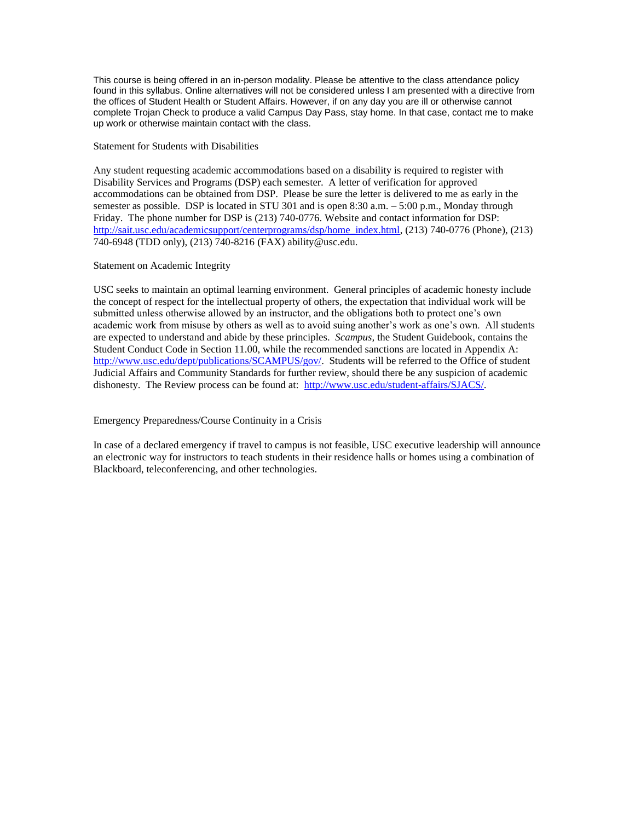This course is being offered in an in-person modality. Please be attentive to the class attendance policy found in this syllabus. Online alternatives will not be considered unless I am presented with a directive from the offices of Student Health or Student Affairs. However, if on any day you are ill or otherwise cannot complete Trojan Check to produce a valid Campus Day Pass, stay home. In that case, contact me to make up work or otherwise maintain contact with the class.

Statement for Students with Disabilities

Any student requesting academic accommodations based on a disability is required to register with Disability Services and Programs (DSP) each semester. A letter of verification for approved accommodations can be obtained from DSP. Please be sure the letter is delivered to me as early in the semester as possible. DSP is located in STU 301 and is open 8:30 a.m. – 5:00 p.m., Monday through Friday. The phone number for DSP is (213) 740-0776. Website and contact information for DSP: [http://sait.usc.edu/academicsupport/centerprograms/dsp/home\\_index.html,](http://sait.usc.edu/academicsupport/centerprograms/dsp/home_index.html) (213) 740-0776 (Phone), (213) 740-6948 (TDD only), (213) 740-8216 (FAX) [ability@usc.edu.](mailto:ability@usc.edu)

## Statement on Academic Integrity

USC seeks to maintain an optimal learning environment. General principles of academic honesty include the concept of respect for the intellectual property of others, the expectation that individual work will be submitted unless otherwise allowed by an instructor, and the obligations both to protect one's own academic work from misuse by others as well as to avoid suing another's work as one's own. All students are expected to understand and abide by these principles. *Scampus,* the Student Guidebook, contains the Student Conduct Code in Section 11.00, while the recommended sanctions are located in Appendix A: [http://www.usc.edu/dept/publications/SCAMPUS/gov/.](http://www.usc.edu/dept/publications/SCAMPUS/gov/) Students will be referred to the Office of student Judicial Affairs and Community Standards for further review, should there be any suspicion of academic dishonesty. The Review process can be found at: [http://www.usc.edu/student-affairs/SJACS/.](http://www.usc.edu/student-affairs/SJACS/)

## Emergency Preparedness/Course Continuity in a Crisis

In case of a declared emergency if travel to campus is not feasible, USC executive leadership will announce an electronic way for instructors to teach students in their residence halls or homes using a combination of Blackboard, teleconferencing, and other technologies.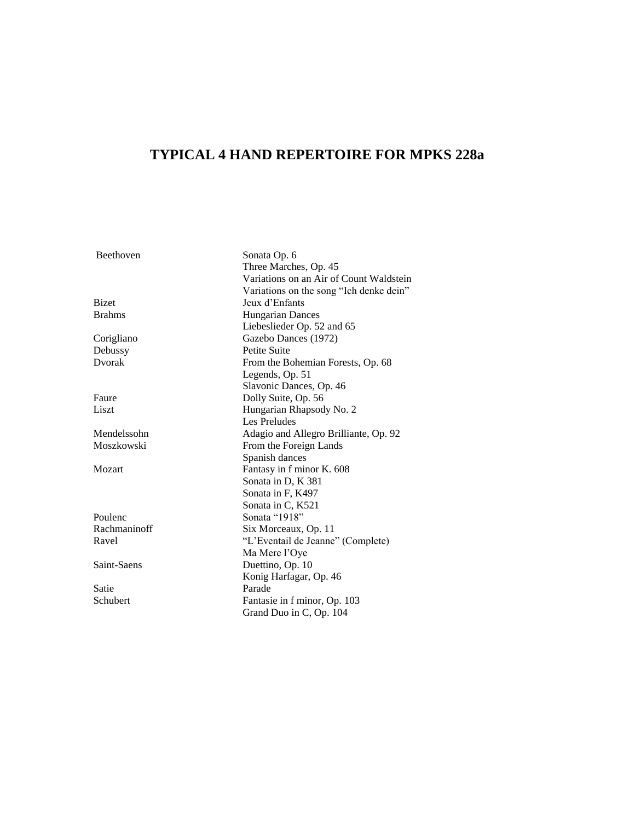# **TYPICAL 4 HAND REPERTOIRE FOR MPKS 228a**

Beethoven Sonata Op. 6 Three Marches, Op. 45 Variations on an Air of Count Waldstein Variations on the song "Ich denke dein" Bizet Jeux d'Enfants Brahms Hungarian Dances Liebeslieder Op. 52 and 65 Corigliano Gazebo Dances (1972) Debussy Petite Suite Dvorak From the Bohemian Forests, Op. 68 Legends, Op. 51 Slavonic Dances, Op. 46 Faure Dolly Suite, Op. 56 Liszt Hungarian Rhapsody No. 2 Les Preludes Mendelssohn Adagio and Allegro Brilliante, Op. 92 Moszkowski From the Foreign Lands Spanish dances Mozart Fantasy in f minor K. 608 Sonata in D, K 381 Sonata in F, K497 Sonata in C, K521 Poulenc Sonata "1918" Rachmaninoff Six Morceaux, Op. 11 Ravel "L'Eventail de Jeanne" (Complete) Ma Mere l'Oye Saint-Saens Duettino, Op. 10 Konig Harfagar, Op. 46 Satie Parade Schubert Fantasie in f minor, Op. 103 Grand Duo in C, Op. 104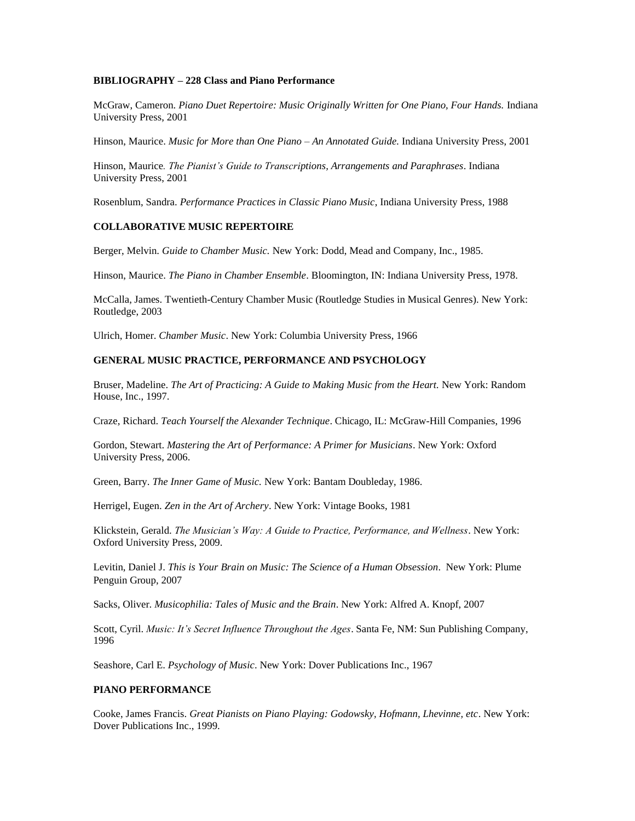## **BIBLIOGRAPHY – 228 Class and Piano Performance**

McGraw, Cameron. *Piano Duet Repertoire: Music Originally Written for One Piano, Four Hands.* Indiana University Press, 2001

Hinson, Maurice. *Music for More than One Piano – An Annotated Guide.* Indiana University Press, 2001

Hinson, Maurice*. The Pianist's Guide to Transcriptions, Arrangements and Paraphrases*. Indiana University Press, 2001

Rosenblum, Sandra. *Performance Practices in Classic Piano Music*, Indiana University Press, 1988

#### **COLLABORATIVE MUSIC REPERTOIRE**

Berger, Melvin. *Guide to Chamber Music.* New York: Dodd, Mead and Company, Inc., 1985.

Hinson, Maurice. *The Piano in Chamber Ensemble*. Bloomington, IN: Indiana University Press, 1978.

McCalla, James. Twentieth-Century Chamber Music (Routledge Studies in Musical Genres). New York: Routledge, 2003

Ulrich, Homer. *Chamber Music*. New York: Columbia University Press, 1966

# **GENERAL MUSIC PRACTICE, PERFORMANCE AND PSYCHOLOGY**

Bruser, Madeline. *The Art of Practicing: A Guide to Making Music from the Heart*. New York: Random House, Inc., 1997.

Craze, Richard. *Teach Yourself the Alexander Technique*. Chicago, IL: McGraw-Hill Companies, 1996

Gordon, Stewart. *Mastering the Art of Performance: A Primer for Musicians*. New York: Oxford University Press, 2006.

Green, Barry. *The Inner Game of Music.* New York: Bantam Doubleday, 1986.

Herrigel, Eugen. *Zen in the Art of Archery*. New York: Vintage Books, 1981

Klickstein, Gerald. *The Musician's Way: A Guide to Practice, Performance, and Wellness*. New York: Oxford University Press, 2009.

Levitin, Daniel J. *This is Your Brain on Music: The Science of a Human Obsession*. New York: Plume Penguin Group, 2007

Sacks, Oliver. *Musicophilia: Tales of Music and the Brain*. New York: Alfred A. Knopf, 2007

Scott, Cyril. *Music: It's Secret Influence Throughout the Ages*. Santa Fe, NM: Sun Publishing Company, 1996

Seashore, Carl E. *Psychology of Music*. New York: Dover Publications Inc., 1967

## **PIANO PERFORMANCE**

Cooke, James Francis. *Great Pianists on Piano Playing: Godowsky, Hofmann, Lhevinne, etc*. New York: Dover Publications Inc., 1999.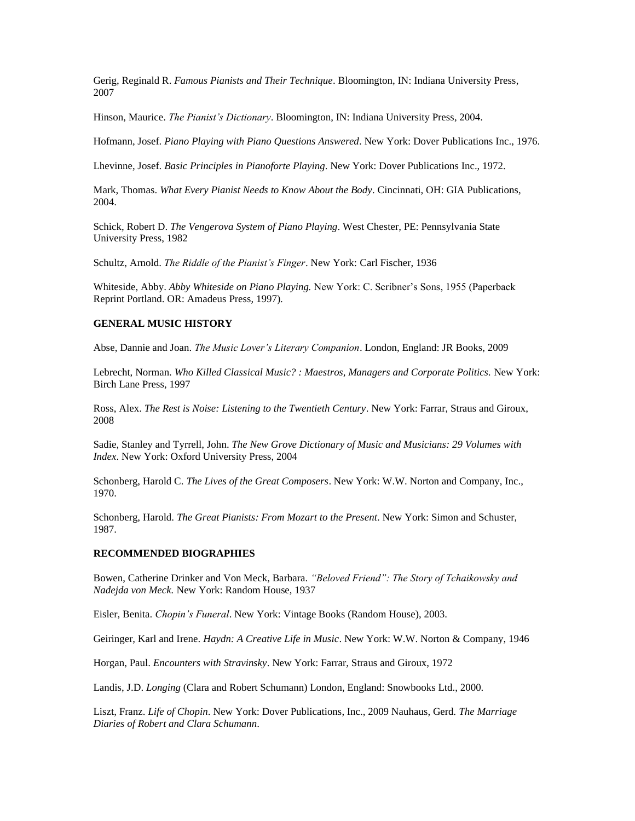Gerig, Reginald R. *Famous Pianists and Their Technique*. Bloomington, IN: Indiana University Press, 2007

Hinson, Maurice. *The Pianist's Dictionary*. Bloomington, IN: Indiana University Press, 2004.

Hofmann, Josef. *Piano Playing with Piano Questions Answered*. New York: Dover Publications Inc., 1976.

Lhevinne, Josef. *Basic Principles in Pianoforte Playing*. New York: Dover Publications Inc., 1972.

Mark, Thomas. *What Every Pianist Needs to Know About the Body*. Cincinnati, OH: GIA Publications, 2004.

Schick, Robert D. *The Vengerova System of Piano Playing*. West Chester, PE: Pennsylvania State University Press, 1982

Schultz, Arnold. *The Riddle of the Pianist's Finger*. New York: Carl Fischer, 1936

Whiteside, Abby. *Abby Whiteside on Piano Playing.* New York: C. Scribner's Sons, 1955 (Paperback Reprint Portland. OR: Amadeus Press, 1997).

#### **GENERAL MUSIC HISTORY**

Abse, Dannie and Joan. *The Music Lover's Literary Companion*. London, England: JR Books, 2009

Lebrecht, Norman. *Who Killed Classical Music? : Maestros, Managers and Corporate Politics.* New York: Birch Lane Press, 1997

Ross, Alex. *The Rest is Noise: Listening to the Twentieth Century*. New York: Farrar, Straus and Giroux, 2008

Sadie, Stanley and Tyrrell, John. *The New Grove Dictionary of Music and Musicians: 29 Volumes with Index*. New York: Oxford University Press, 2004

Schonberg, Harold C. *The Lives of the Great Composers*. New York: W.W. Norton and Company, Inc., 1970.

Schonberg, Harold. *The Great Pianists: From Mozart to the Present*. New York: Simon and Schuster, 1987.

# **RECOMMENDED BIOGRAPHIES**

Bowen, Catherine Drinker and Von Meck, Barbara. *"Beloved Friend": The Story of Tchaikowsky and Nadejda von Meck.* New York: Random House, 1937

Eisler, Benita. *Chopin's Funeral*. New York: Vintage Books (Random House), 2003.

Geiringer, Karl and Irene. *Haydn: A Creative Life in Music*. New York: W.W. Norton & Company, 1946

Horgan, Paul. *Encounters with Stravinsky*. New York: Farrar, Straus and Giroux, 1972

Landis, J.D. *Longing* (Clara and Robert Schumann) London, England: Snowbooks Ltd., 2000.

Liszt, Franz. *Life of Chopin*. New York: Dover Publications, Inc., 2009 Nauhaus, Gerd. *The Marriage Diaries of Robert and Clara Schumann*.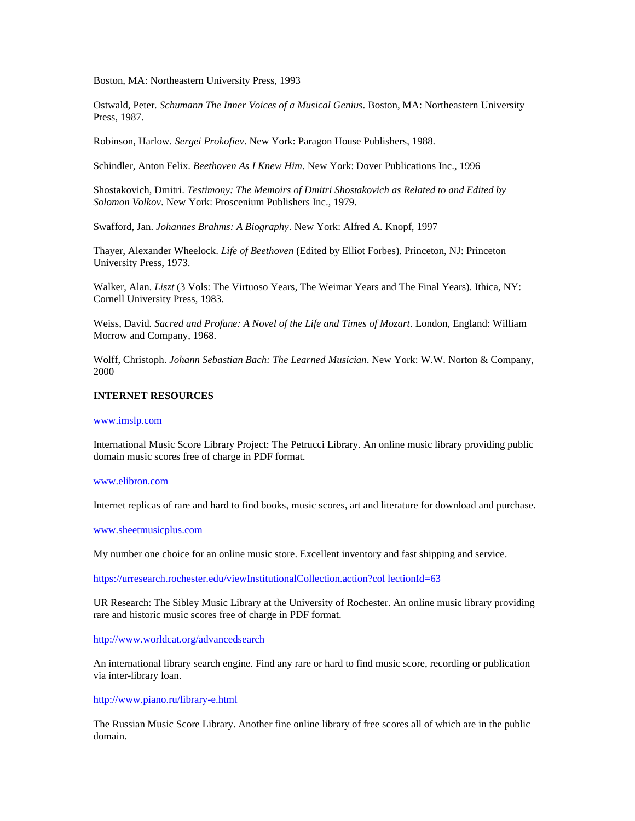Boston, MA: Northeastern University Press, 1993

Ostwald, Peter. *Schumann The Inner Voices of a Musical Genius*. Boston, MA: Northeastern University Press, 1987.

Robinson, Harlow. *Sergei Prokofiev*. New York: Paragon House Publishers, 1988.

Schindler, Anton Felix. *Beethoven As I Knew Him*. New York: Dover Publications Inc., 1996

Shostakovich, Dmitri. *Testimony: The Memoirs of Dmitri Shostakovich as Related to and Edited by Solomon Volkov*. New York: Proscenium Publishers Inc., 1979.

Swafford, Jan. *Johannes Brahms: A Biography*. New York: Alfred A. Knopf, 1997

Thayer, Alexander Wheelock. *Life of Beethoven* (Edited by Elliot Forbes). Princeton, NJ: Princeton University Press, 1973.

Walker, Alan. *Liszt* (3 Vols: The Virtuoso Years, The Weimar Years and The Final Years). Ithica, NY: Cornell University Press, 1983.

Weiss, David*. Sacred and Profane: A Novel of the Life and Times of Mozart*. London, England: William Morrow and Company, 1968.

Wolff, Christoph. *Johann Sebastian Bach: The Learned Musician*. New York: W.W. Norton & Company, 2000

#### **INTERNET RESOURCES**

#### www.imslp.com

International Music Score Library Project: The Petrucci Library. An online music library providing public domain music scores free of charge in PDF format.

#### www.elibron.com

Internet replicas of rare and hard to find books, music scores, art and literature for download and purchase.

www.sheetmusicplus.com

My number one choice for an online music store. Excellent inventory and fast shipping and service.

https://urresearch.rochester.edu/viewInstitutionalCollection.action?col lectionId=63

UR Research: The Sibley Music Library at the University of Rochester. An online music library providing rare and historic music scores free of charge in PDF format.

#### http://www.worldcat.org/advancedsearch

An international library search engine. Find any rare or hard to find music score, recording or publication via inter-library loan.

#### http://www.piano.ru/library-e.html

The Russian Music Score Library. Another fine online library of free scores all of which are in the public domain.